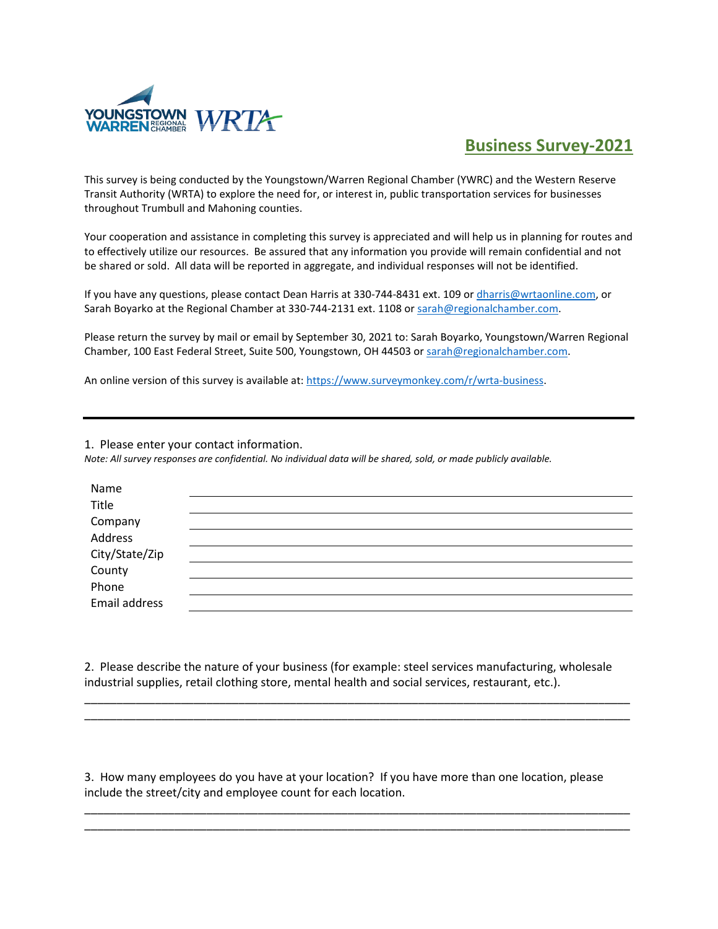

## **Business Survey-2021**

This survey is being conducted by the Youngstown/Warren Regional Chamber (YWRC) and the Western Reserve Transit Authority (WRTA) to explore the need for, or interest in, public transportation services for businesses throughout Trumbull and Mahoning counties.

Your cooperation and assistance in completing this survey is appreciated and will help us in planning for routes and to effectively utilize our resources. Be assured that any information you provide will remain confidential and not be shared or sold. All data will be reported in aggregate, and individual responses will not be identified.

If you have any questions, please contact Dean Harris at 330-744-8431 ext. 109 or *dharris@wrtaonline.com*, or Sarah Boyarko at the Regional Chamber at 330-744-2131 ext. 1108 or sarah@regionalchamber.com.

Please return the survey by mail or email by September 30, 2021 to: Sarah Boyarko, Youngstown/Warren Regional Chamber, 100 East Federal Street, Suite 500, Youngstown, OH 44503 or [sarah@regionalchamber.com.](mailto:sarah@regionalchamber.com) 

An online version of this survey is available at[: https://www.surveymonkey.com/r/wrta-business.](https://www.surveymonkey.com/r/wrta-business)

1. Please enter your contact information.

*Note: All survey responses are confidential. No individual data will be shared, sold, or made publicly available.*

| Name                     |  |  |
|--------------------------|--|--|
| Title                    |  |  |
|                          |  |  |
| Company<br>Address       |  |  |
| City/State/Zip<br>County |  |  |
|                          |  |  |
| Phone                    |  |  |
| Email address            |  |  |
|                          |  |  |

2. Please describe the nature of your business (for example: steel services manufacturing, wholesale industrial supplies, retail clothing store, mental health and social services, restaurant, etc.).

\_\_\_\_\_\_\_\_\_\_\_\_\_\_\_\_\_\_\_\_\_\_\_\_\_\_\_\_\_\_\_\_\_\_\_\_\_\_\_\_\_\_\_\_\_\_\_\_\_\_\_\_\_\_\_\_\_\_\_\_\_\_\_\_\_\_\_\_\_\_\_\_\_\_\_\_\_\_\_\_\_\_\_\_\_ \_\_\_\_\_\_\_\_\_\_\_\_\_\_\_\_\_\_\_\_\_\_\_\_\_\_\_\_\_\_\_\_\_\_\_\_\_\_\_\_\_\_\_\_\_\_\_\_\_\_\_\_\_\_\_\_\_\_\_\_\_\_\_\_\_\_\_\_\_\_\_\_\_\_\_\_\_\_\_\_\_\_\_\_\_

3. How many employees do you have at your location? If you have more than one location, please include the street/city and employee count for each location.

\_\_\_\_\_\_\_\_\_\_\_\_\_\_\_\_\_\_\_\_\_\_\_\_\_\_\_\_\_\_\_\_\_\_\_\_\_\_\_\_\_\_\_\_\_\_\_\_\_\_\_\_\_\_\_\_\_\_\_\_\_\_\_\_\_\_\_\_\_\_\_\_\_\_\_\_\_\_\_\_\_\_\_\_\_ \_\_\_\_\_\_\_\_\_\_\_\_\_\_\_\_\_\_\_\_\_\_\_\_\_\_\_\_\_\_\_\_\_\_\_\_\_\_\_\_\_\_\_\_\_\_\_\_\_\_\_\_\_\_\_\_\_\_\_\_\_\_\_\_\_\_\_\_\_\_\_\_\_\_\_\_\_\_\_\_\_\_\_\_\_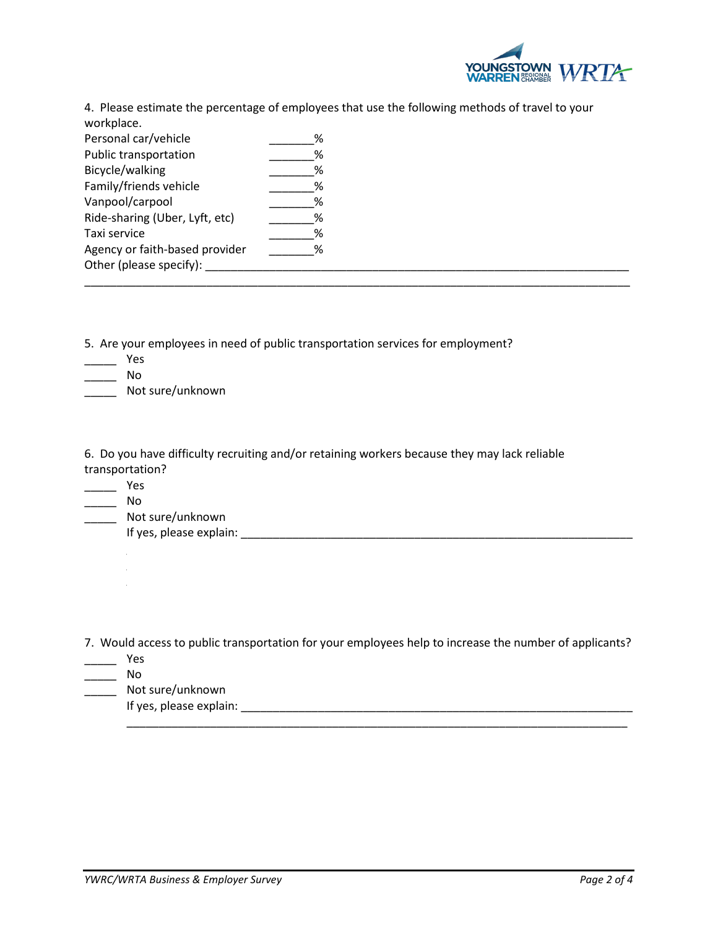

4. Please estimate the percentage of employees that use the following methods of travel to your workplace.

| Personal car/vehicle           | % |  |  |
|--------------------------------|---|--|--|
| Public transportation          | % |  |  |
| Bicycle/walking                | % |  |  |
| Family/friends vehicle         | ℅ |  |  |
| Vanpool/carpool                | % |  |  |
| Ride-sharing (Uber, Lyft, etc) | % |  |  |
| Taxi service                   | % |  |  |
| Agency or faith-based provider | ℅ |  |  |
| Other (please specify):        |   |  |  |
|                                |   |  |  |

5. Are your employees in need of public transportation services for employment?

- $\overline{\phantom{a}}$  Yes
- \_\_\_\_\_ No
- \_\_\_\_\_\_ Not sure/unknown

6. Do you have difficulty recruiting and/or retaining workers because they may lack reliable transportation?

 $\overline{\phantom{a}}$  Yes

\_\_\_\_\_ No

\_\_\_\_\_\_ Not sure/unknown

If yes, please explain: \_\_\_\_\_\_\_\_\_\_\_\_\_\_\_\_\_\_\_\_\_\_\_\_\_\_\_\_\_\_\_\_\_\_\_\_\_\_\_\_\_\_\_\_\_\_\_\_\_\_\_\_\_\_\_\_\_\_\_\_\_

7. Would access to public transportation for your employees help to increase the number of applicants?

- \_\_\_\_\_ Yes
- \_\_\_\_\_ No
- \_\_\_\_\_ Not sure/unknown

If yes, please explain: \_\_\_\_\_\_\_\_\_\_\_\_\_\_\_\_\_\_\_\_\_\_\_\_\_\_\_\_\_\_\_\_\_\_\_\_\_\_\_\_\_\_\_\_\_\_\_\_\_\_\_\_\_\_\_\_\_\_\_\_\_  $\frac{\frac{1}{2}}{\frac{1}{2}}$  ,  $\frac{1}{2}$  ,  $\frac{1}{2}$  ,  $\frac{1}{2}$  ,  $\frac{1}{2}$  ,  $\frac{1}{2}$  ,  $\frac{1}{2}$  ,  $\frac{1}{2}$  ,  $\frac{1}{2}$  ,  $\frac{1}{2}$  ,  $\frac{1}{2}$  ,  $\frac{1}{2}$  ,  $\frac{1}{2}$  ,  $\frac{1}{2}$  ,  $\frac{1}{2}$  ,  $\frac{1}{2}$  ,  $\frac{1}{2}$  ,  $\frac{1}{2}$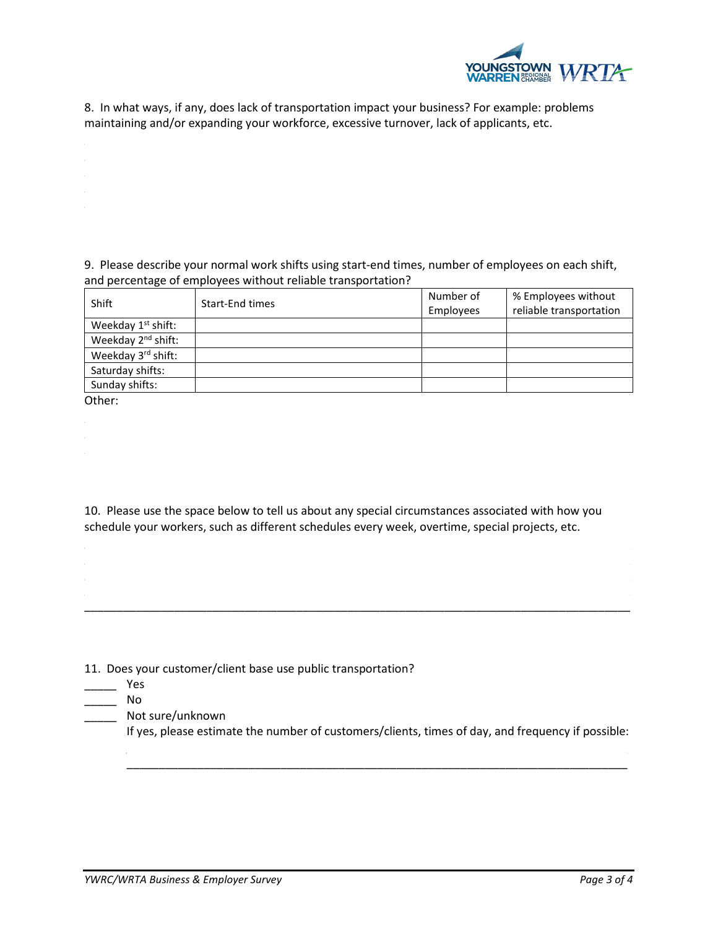

8. In what ways, if any, does lack of transportation impact your business? For example: problems maintaining and/or expanding your workforce, excessive turnover, lack of applicants, etc.

9. Please describe your normal work shifts using start-end times, number of employees on each shift, and percentage of employees without reliable transportation?

| Shift                          | Start-End times | Number of | % Employees without     |
|--------------------------------|-----------------|-----------|-------------------------|
|                                |                 | Employees | reliable transportation |
| Weekday 1 <sup>st</sup> shift: |                 |           |                         |
| Weekday 2 <sup>nd</sup> shift: |                 |           |                         |
| Weekday 3rd shift:             |                 |           |                         |
| Saturday shifts:               |                 |           |                         |
| Sunday shifts:                 |                 |           |                         |
|                                |                 |           |                         |

Other:

10. Please use the space below to tell us about any special circumstances associated with how you schedule your workers, such as different schedules every week, overtime, special projects, etc.

\_\_\_\_\_\_\_\_\_\_\_\_\_\_\_\_\_\_\_\_\_\_\_\_\_\_\_\_\_\_\_\_\_\_\_\_\_\_\_\_\_\_\_\_\_\_\_\_\_\_\_\_\_\_\_\_\_\_\_\_\_\_\_\_\_\_\_\_\_\_\_\_\_\_\_\_\_\_\_\_\_\_\_\_\_

11. Does your customer/client base use public transportation?

- $\frac{1}{\sqrt{2}}$  Yes
- \_\_\_\_\_ No
	- \_\_\_\_\_ Not sure/unknown

If yes, please estimate the number of customers/clients, times of day, and frequency if possible:

\_\_\_\_\_\_\_\_\_\_\_\_\_\_\_\_\_\_\_\_\_\_\_\_\_\_\_\_\_\_\_\_\_\_\_\_\_\_\_\_\_\_\_\_\_\_\_\_\_\_\_\_\_\_\_\_\_\_\_\_\_\_\_\_\_\_\_\_\_\_\_\_\_\_\_\_\_\_